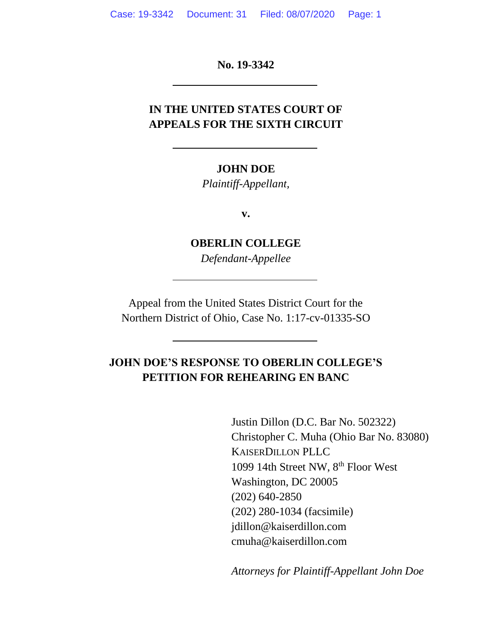**No. 19-3342**

## **IN THE UNITED STATES COURT OF APPEALS FOR THE SIXTH CIRCUIT**

#### **JOHN DOE**

*Plaintiff-Appellant,*

**v.**

**OBERLIN COLLEGE** *Defendant-Appellee*

Appeal from the United States District Court for the Northern District of Ohio, Case No. 1:17-cv-01335-SO

## **JOHN DOE'S RESPONSE TO OBERLIN COLLEGE'S PETITION FOR REHEARING EN BANC**

Justin Dillon (D.C. Bar No. 502322) Christopher C. Muha (Ohio Bar No. 83080) KAISERDILLON PLLC 1099 14th Street NW, 8th Floor West Washington, DC 20005 (202) 640-2850 (202) 280-1034 (facsimile) jdillon@kaiserdillon.com cmuha@kaiserdillon.com

*Attorneys for Plaintiff-Appellant John Doe*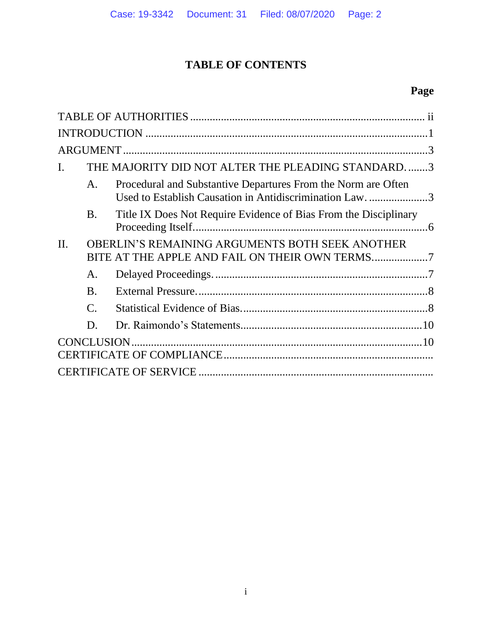# **TABLE OF CONTENTS**

# **Page**

| $\mathbf{I}$ . |           | THE MAJORITY DID NOT ALTER THE PLEADING STANDARD3                                                                         |  |  |
|----------------|-----------|---------------------------------------------------------------------------------------------------------------------------|--|--|
|                | A.        | Procedural and Substantive Departures From the Norm are Often<br>Used to Establish Causation in Antidiscrimination Law. 3 |  |  |
|                | <b>B.</b> | Title IX Does Not Require Evidence of Bias From the Disciplinary                                                          |  |  |
| II.            |           | OBERLIN'S REMAINING ARGUMENTS BOTH SEEK ANOTHER<br>BITE AT THE APPLE AND FAIL ON THEIR OWN TERMS7                         |  |  |
|                | A.        |                                                                                                                           |  |  |
|                | <b>B.</b> |                                                                                                                           |  |  |
|                | C.        |                                                                                                                           |  |  |
|                | D.        |                                                                                                                           |  |  |
|                |           |                                                                                                                           |  |  |
|                |           |                                                                                                                           |  |  |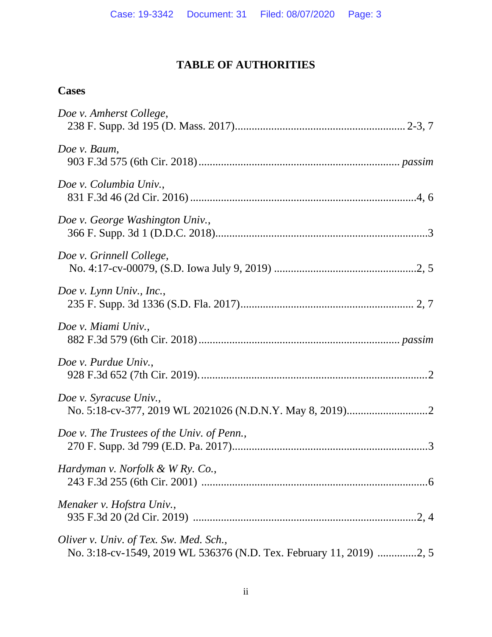## **TABLE OF AUTHORITIES**

## **Cases**

| Doe v. Amherst College,                    |
|--------------------------------------------|
| Doe v. Baum,                               |
| Doe v. Columbia Univ.,                     |
| Doe v. George Washington Univ.,            |
| Doe v. Grinnell College,                   |
| Doe v. Lynn Univ., Inc.,                   |
| Doe v. Miami Univ.,                        |
| Doe v. Purdue Univ.,                       |
| Doe v. Syracuse Univ.,                     |
| Doe v. The Trustees of the Univ. of Penn., |
| Hardyman v. Norfolk & W Ry. Co.,           |
| Menaker v. Hofstra Univ.,                  |
| Oliver v. Univ. of Tex. Sw. Med. Sch.,     |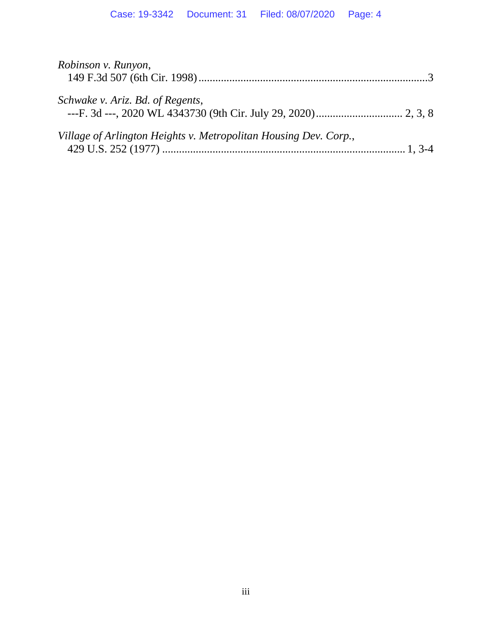| Robinson v. Runyon,                                              |  |
|------------------------------------------------------------------|--|
| Schwake v. Ariz. Bd. of Regents,                                 |  |
| Village of Arlington Heights v. Metropolitan Housing Dev. Corp., |  |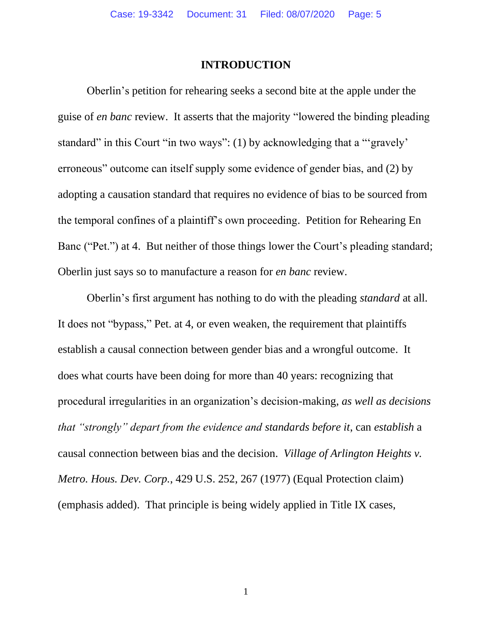#### **INTRODUCTION**

Oberlin's petition for rehearing seeks a second bite at the apple under the guise of *en banc* review. It asserts that the majority "lowered the binding pleading standard" in this Court "in two ways": (1) by acknowledging that a "'gravely' erroneous" outcome can itself supply some evidence of gender bias, and (2) by adopting a causation standard that requires no evidence of bias to be sourced from the temporal confines of a plaintiff's own proceeding. Petition for Rehearing En Banc ("Pet.") at 4. But neither of those things lower the Court's pleading standard; Oberlin just says so to manufacture a reason for *en banc* review.

Oberlin's first argument has nothing to do with the pleading *standard* at all. It does not "bypass," Pet. at 4, or even weaken, the requirement that plaintiffs establish a causal connection between gender bias and a wrongful outcome. It does what courts have been doing for more than 40 years: recognizing that procedural irregularities in an organization's decision-making, *as well as decisions that "strongly" depart from the evidence and standards before it*, can *establish* a causal connection between bias and the decision. *Village of Arlington Heights v. Metro. Hous. Dev. Corp.*, 429 U.S. 252, 267 (1977) (Equal Protection claim) (emphasis added). That principle is being widely applied in Title IX cases,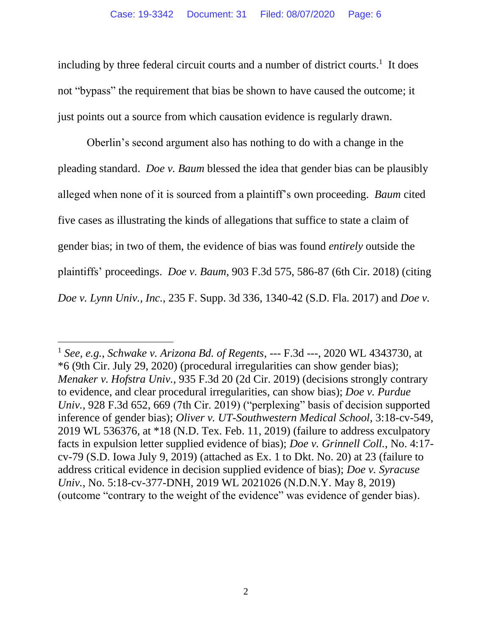including by three federal circuit courts and a number of district courts.<sup>1</sup> It does not "bypass" the requirement that bias be shown to have caused the outcome; it just points out a source from which causation evidence is regularly drawn.

Oberlin's second argument also has nothing to do with a change in the pleading standard. *Doe v. Baum* blessed the idea that gender bias can be plausibly alleged when none of it is sourced from a plaintiff's own proceeding. *Baum* cited five cases as illustrating the kinds of allegations that suffice to state a claim of gender bias; in two of them, the evidence of bias was found *entirely* outside the plaintiffs' proceedings. *Doe v. Baum*, 903 F.3d 575, 586-87 (6th Cir. 2018) (citing *Doe v. Lynn Univ., Inc.*, 235 F. Supp. 3d 336, 1340-42 (S.D. Fla. 2017) and *Doe v.* 

<sup>1</sup> *See, e.g.*, *Schwake v. Arizona Bd. of Regents*, --- F.3d ---, 2020 WL 4343730, at \*6 (9th Cir. July 29, 2020) (procedural irregularities can show gender bias); *Menaker v. Hofstra Univ.*, 935 F.3d 20 (2d Cir. 2019) (decisions strongly contrary to evidence, and clear procedural irregularities, can show bias); *Doe v. Purdue Univ.*, 928 F.3d 652, 669 (7th Cir. 2019) ("perplexing" basis of decision supported inference of gender bias); *Oliver v. UT-Southwestern Medical School*, 3:18-cv-549, 2019 WL 536376, at \*18 (N.D. Tex. Feb. 11, 2019) (failure to address exculpatory facts in expulsion letter supplied evidence of bias); *Doe v. Grinnell Coll.*, No. 4:17 cv-79 (S.D. Iowa July 9, 2019) (attached as Ex. 1 to Dkt. No. 20) at 23 (failure to address critical evidence in decision supplied evidence of bias); *Doe v. Syracuse Univ.*, No. 5:18-cv-377-DNH, 2019 WL 2021026 (N.D.N.Y. May 8, 2019) (outcome "contrary to the weight of the evidence" was evidence of gender bias).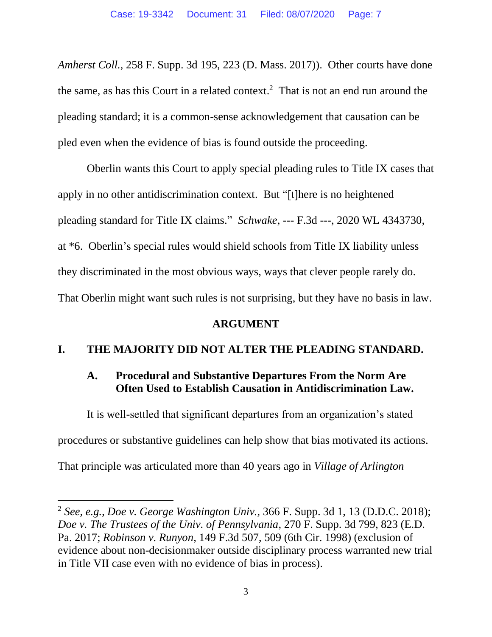*Amherst Coll.*, 258 F. Supp. 3d 195, 223 (D. Mass. 2017)). Other courts have done the same, as has this Court in a related context. 2 That is not an end run around the pleading standard; it is a common-sense acknowledgement that causation can be pled even when the evidence of bias is found outside the proceeding.

Oberlin wants this Court to apply special pleading rules to Title IX cases that apply in no other antidiscrimination context. But "[t]here is no heightened pleading standard for Title IX claims." *Schwake*, --- F.3d ---, 2020 WL 4343730, at \*6. Oberlin's special rules would shield schools from Title IX liability unless they discriminated in the most obvious ways, ways that clever people rarely do. That Oberlin might want such rules is not surprising, but they have no basis in law.

#### **ARGUMENT**

## **I. THE MAJORITY DID NOT ALTER THE PLEADING STANDARD.**

### **A. Procedural and Substantive Departures From the Norm Are Often Used to Establish Causation in Antidiscrimination Law.**

It is well-settled that significant departures from an organization's stated procedures or substantive guidelines can help show that bias motivated its actions. That principle was articulated more than 40 years ago in *Village of Arlington* 

<sup>2</sup> *See, e.g.*, *Doe v. George Washington Univ.*, 366 F. Supp. 3d 1, 13 (D.D.C. 2018); *Doe v. The Trustees of the Univ. of Pennsylvania*, 270 F. Supp. 3d 799, 823 (E.D. Pa. 2017; *Robinson v. Runyon*, 149 F.3d 507, 509 (6th Cir. 1998) (exclusion of evidence about non-decisionmaker outside disciplinary process warranted new trial in Title VII case even with no evidence of bias in process).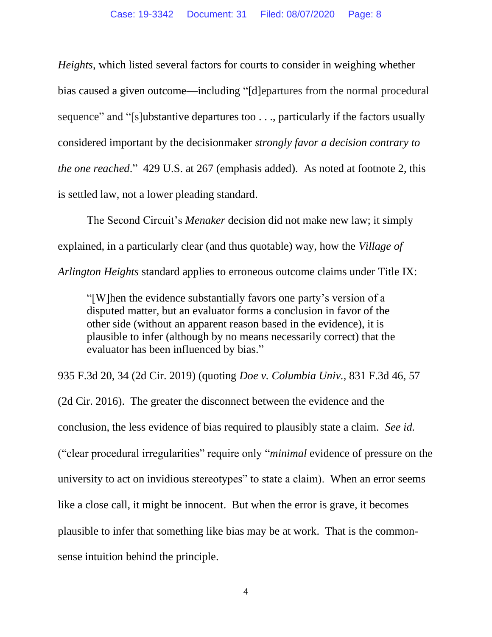*Heights*, which listed several factors for courts to consider in weighing whether bias caused a given outcome—including "[d]epartures from the normal procedural sequence" and "[s]ubstantive departures too . . ., particularly if the factors usually considered important by the decisionmaker *strongly favor a decision contrary to the one reached*." 429 U.S. at 267 (emphasis added). As noted at footnote 2, this is settled law, not a lower pleading standard.

The Second Circuit's *Menaker* decision did not make new law; it simply explained, in a particularly clear (and thus quotable) way, how the *Village of Arlington Heights* standard applies to erroneous outcome claims under Title IX:

"[W]hen the evidence substantially favors one party's version of a disputed matter, but an evaluator forms a conclusion in favor of the other side (without an apparent reason based in the evidence), it is plausible to infer (although by no means necessarily correct) that the evaluator has been influenced by bias."

935 F.3d 20, 34 (2d Cir. 2019) (quoting *Doe v. Columbia Univ.*, 831 F.3d 46, 57

(2d Cir. 2016). The greater the disconnect between the evidence and the conclusion, the less evidence of bias required to plausibly state a claim. *See id.* ("clear procedural irregularities" require only "*minimal* evidence of pressure on the university to act on invidious stereotypes" to state a claim). When an error seems like a close call, it might be innocent. But when the error is grave, it becomes plausible to infer that something like bias may be at work. That is the commonsense intuition behind the principle.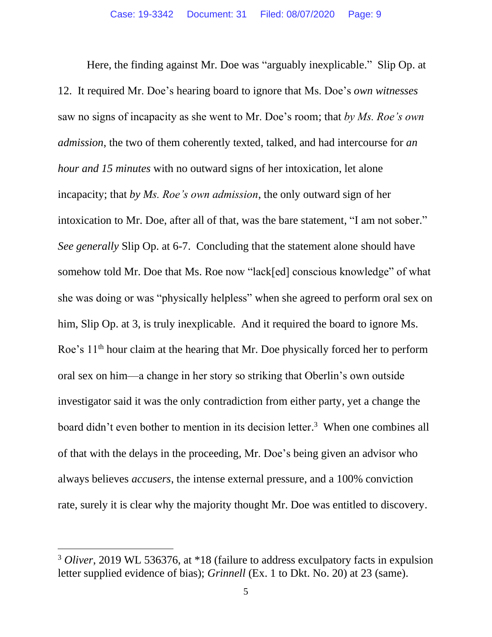Here, the finding against Mr. Doe was "arguably inexplicable." Slip Op. at 12. It required Mr. Doe's hearing board to ignore that Ms. Doe's *own witnesses* saw no signs of incapacity as she went to Mr. Doe's room; that *by Ms. Roe's own admission*, the two of them coherently texted, talked, and had intercourse for *an hour and 15 minutes* with no outward signs of her intoxication, let alone incapacity; that *by Ms. Roe's own admission*, the only outward sign of her intoxication to Mr. Doe, after all of that, was the bare statement, "I am not sober." *See generally* Slip Op. at 6-7. Concluding that the statement alone should have somehow told Mr. Doe that Ms. Roe now "lack[ed] conscious knowledge" of what she was doing or was "physically helpless" when she agreed to perform oral sex on him, Slip Op. at 3, is truly inexplicable. And it required the board to ignore Ms. Roe's 11<sup>th</sup> hour claim at the hearing that Mr. Doe physically forced her to perform oral sex on him—a change in her story so striking that Oberlin's own outside investigator said it was the only contradiction from either party, yet a change the board didn't even bother to mention in its decision letter. 3 When one combines all of that with the delays in the proceeding, Mr. Doe's being given an advisor who always believes *accusers*, the intense external pressure, and a 100% conviction rate, surely it is clear why the majority thought Mr. Doe was entitled to discovery.

<sup>3</sup> *Oliver*, 2019 WL 536376, at \*18 (failure to address exculpatory facts in expulsion letter supplied evidence of bias); *Grinnell* (Ex. 1 to Dkt. No. 20) at 23 (same).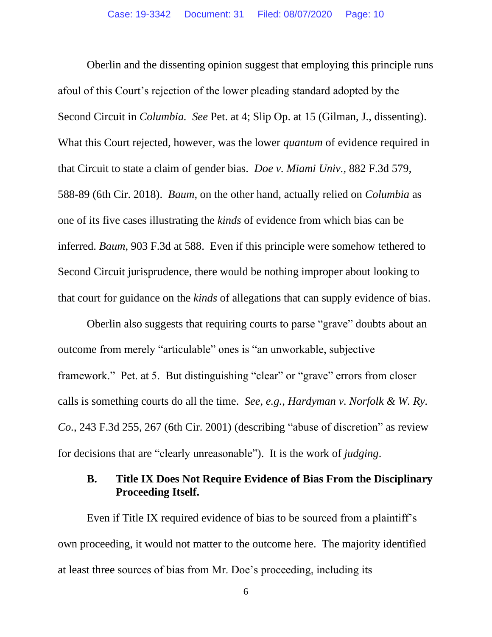Oberlin and the dissenting opinion suggest that employing this principle runs afoul of this Court's rejection of the lower pleading standard adopted by the Second Circuit in *Columbia. See* Pet. at 4; Slip Op. at 15 (Gilman, J., dissenting). What this Court rejected, however, was the lower *quantum* of evidence required in that Circuit to state a claim of gender bias. *Doe v. Miami Univ.*, 882 F.3d 579, 588-89 (6th Cir. 2018). *Baum*, on the other hand, actually relied on *Columbia* as one of its five cases illustrating the *kinds* of evidence from which bias can be inferred. *Baum*, 903 F.3d at 588. Even if this principle were somehow tethered to Second Circuit jurisprudence, there would be nothing improper about looking to that court for guidance on the *kinds* of allegations that can supply evidence of bias.

Oberlin also suggests that requiring courts to parse "grave" doubts about an outcome from merely "articulable" ones is "an unworkable, subjective framework." Pet. at 5. But distinguishing "clear" or "grave" errors from closer calls is something courts do all the time. *See, e.g.*, *Hardyman v. Norfolk & W. Ry. Co.*, 243 F.3d 255, 267 (6th Cir. 2001) (describing "abuse of discretion" as review for decisions that are "clearly unreasonable"). It is the work of *judging*.

#### **B. Title IX Does Not Require Evidence of Bias From the Disciplinary Proceeding Itself.**

Even if Title IX required evidence of bias to be sourced from a plaintiff's own proceeding, it would not matter to the outcome here. The majority identified at least three sources of bias from Mr. Doe's proceeding, including its

6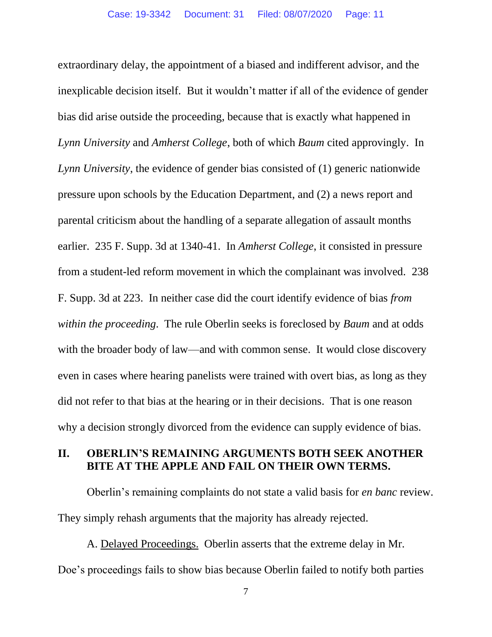extraordinary delay, the appointment of a biased and indifferent advisor, and the inexplicable decision itself. But it wouldn't matter if all of the evidence of gender bias did arise outside the proceeding, because that is exactly what happened in *Lynn University* and *Amherst College*, both of which *Baum* cited approvingly. In *Lynn University*, the evidence of gender bias consisted of (1) generic nationwide pressure upon schools by the Education Department, and (2) a news report and parental criticism about the handling of a separate allegation of assault months earlier. 235 F. Supp. 3d at 1340-41. In *Amherst College*, it consisted in pressure from a student-led reform movement in which the complainant was involved. 238 F. Supp. 3d at 223. In neither case did the court identify evidence of bias *from within the proceeding*. The rule Oberlin seeks is foreclosed by *Baum* and at odds with the broader body of law—and with common sense. It would close discovery even in cases where hearing panelists were trained with overt bias, as long as they did not refer to that bias at the hearing or in their decisions. That is one reason why a decision strongly divorced from the evidence can supply evidence of bias.

#### **II. OBERLIN'S REMAINING ARGUMENTS BOTH SEEK ANOTHER BITE AT THE APPLE AND FAIL ON THEIR OWN TERMS.**

Oberlin's remaining complaints do not state a valid basis for *en banc* review. They simply rehash arguments that the majority has already rejected.

A. Delayed Proceedings. Oberlin asserts that the extreme delay in Mr. Doe's proceedings fails to show bias because Oberlin failed to notify both parties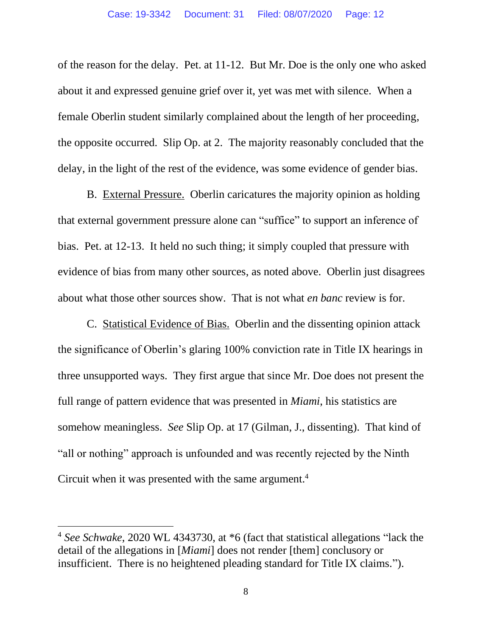of the reason for the delay. Pet. at 11-12. But Mr. Doe is the only one who asked about it and expressed genuine grief over it, yet was met with silence. When a female Oberlin student similarly complained about the length of her proceeding, the opposite occurred. Slip Op. at 2. The majority reasonably concluded that the delay, in the light of the rest of the evidence, was some evidence of gender bias.

B. External Pressure. Oberlin caricatures the majority opinion as holding that external government pressure alone can "suffice" to support an inference of bias. Pet. at 12-13. It held no such thing; it simply coupled that pressure with evidence of bias from many other sources, as noted above. Oberlin just disagrees about what those other sources show. That is not what *en banc* review is for.

C. Statistical Evidence of Bias. Oberlin and the dissenting opinion attack the significance of Oberlin's glaring 100% conviction rate in Title IX hearings in three unsupported ways. They first argue that since Mr. Doe does not present the full range of pattern evidence that was presented in *Miami*, his statistics are somehow meaningless. *See* Slip Op. at 17 (Gilman, J., dissenting). That kind of "all or nothing" approach is unfounded and was recently rejected by the Ninth Circuit when it was presented with the same argument.<sup>4</sup>

<sup>4</sup> *See Schwake*, 2020 WL 4343730, at \*6 (fact that statistical allegations "lack the detail of the allegations in [*Miami*] does not render [them] conclusory or insufficient. There is no heightened pleading standard for Title IX claims.").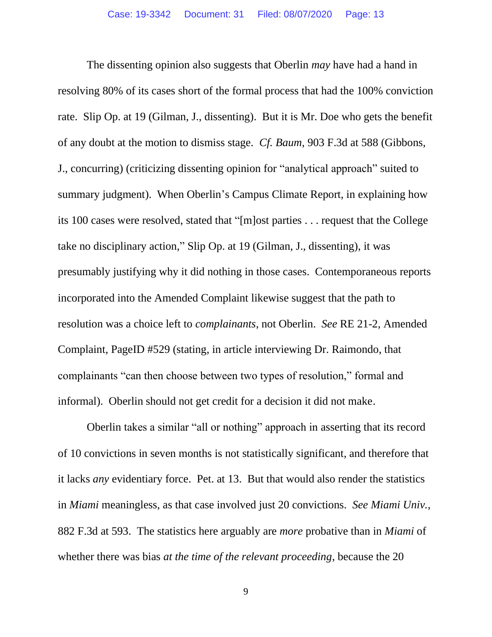The dissenting opinion also suggests that Oberlin *may* have had a hand in resolving 80% of its cases short of the formal process that had the 100% conviction rate. Slip Op. at 19 (Gilman, J., dissenting). But it is Mr. Doe who gets the benefit of any doubt at the motion to dismiss stage. *Cf. Baum*, 903 F.3d at 588 (Gibbons, J., concurring) (criticizing dissenting opinion for "analytical approach" suited to summary judgment). When Oberlin's Campus Climate Report, in explaining how its 100 cases were resolved, stated that "[m]ost parties . . . request that the College take no disciplinary action," Slip Op. at 19 (Gilman, J., dissenting), it was presumably justifying why it did nothing in those cases. Contemporaneous reports incorporated into the Amended Complaint likewise suggest that the path to resolution was a choice left to *complainants*, not Oberlin. *See* RE 21-2, Amended Complaint, PageID #529 (stating, in article interviewing Dr. Raimondo, that complainants "can then choose between two types of resolution," formal and informal). Oberlin should not get credit for a decision it did not make.

Oberlin takes a similar "all or nothing" approach in asserting that its record of 10 convictions in seven months is not statistically significant, and therefore that it lacks *any* evidentiary force. Pet. at 13. But that would also render the statistics in *Miami* meaningless, as that case involved just 20 convictions. *See Miami Univ.*, 882 F.3d at 593. The statistics here arguably are *more* probative than in *Miami* of whether there was bias *at the time of the relevant proceeding*, because the 20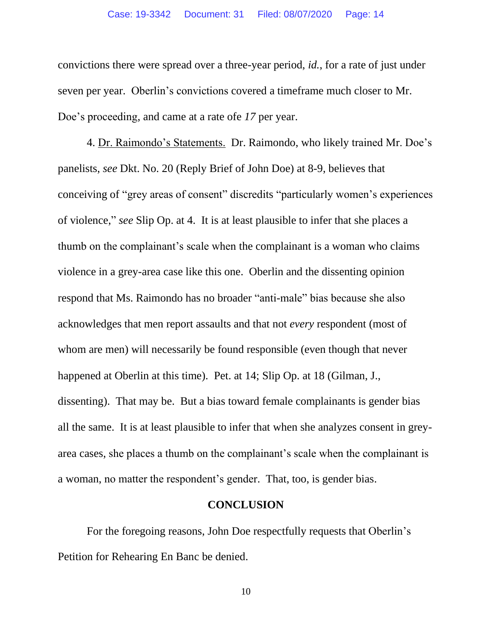convictions there were spread over a three-year period, *id.*, for a rate of just under seven per year. Oberlin's convictions covered a timeframe much closer to Mr. Doe's proceeding, and came at a rate ofe *17* per year.

4. Dr. Raimondo's Statements. Dr. Raimondo, who likely trained Mr. Doe's panelists, *see* Dkt. No. 20 (Reply Brief of John Doe) at 8-9, believes that conceiving of "grey areas of consent" discredits "particularly women's experiences of violence," *see* Slip Op. at 4. It is at least plausible to infer that she places a thumb on the complainant's scale when the complainant is a woman who claims violence in a grey-area case like this one. Oberlin and the dissenting opinion respond that Ms. Raimondo has no broader "anti-male" bias because she also acknowledges that men report assaults and that not *every* respondent (most of whom are men) will necessarily be found responsible (even though that never happened at Oberlin at this time). Pet. at 14; Slip Op. at 18 (Gilman, J., dissenting). That may be. But a bias toward female complainants is gender bias all the same. It is at least plausible to infer that when she analyzes consent in greyarea cases, she places a thumb on the complainant's scale when the complainant is a woman, no matter the respondent's gender. That, too, is gender bias.

#### **CONCLUSION**

For the foregoing reasons, John Doe respectfully requests that Oberlin's Petition for Rehearing En Banc be denied.

10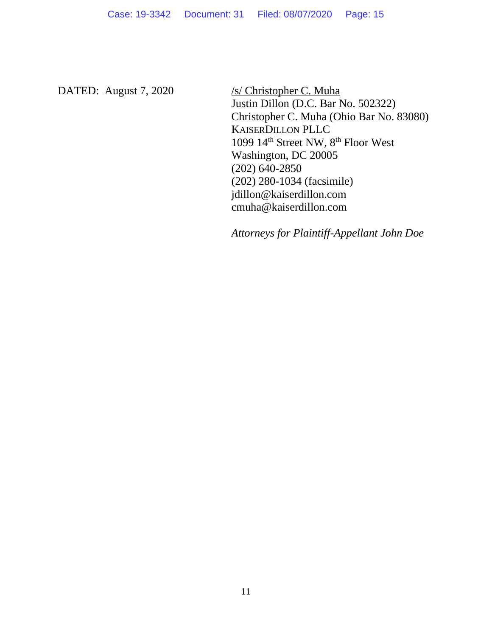DATED: August 7, 2020 /s/ Christopher C. Muha

Justin Dillon (D.C. Bar No. 502322) Christopher C. Muha (Ohio Bar No. 83080) KAISERDILLON PLLC 1099 14<sup>th</sup> Street NW, 8<sup>th</sup> Floor West Washington, DC 20005 (202) 640-2850 (202) 280-1034 (facsimile) jdillon@kaiserdillon.com cmuha@kaiserdillon.com

*Attorneys for Plaintiff-Appellant John Doe*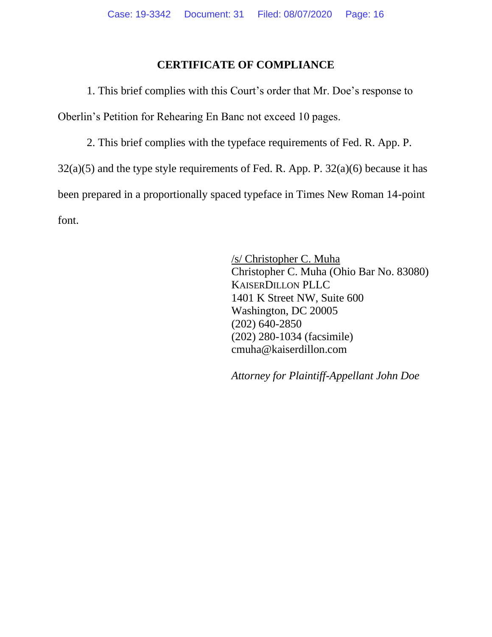#### **CERTIFICATE OF COMPLIANCE**

1. This brief complies with this Court's order that Mr. Doe's response to Oberlin's Petition for Rehearing En Banc not exceed 10 pages.

2. This brief complies with the typeface requirements of Fed. R. App. P.  $32(a)(5)$  and the type style requirements of Fed. R. App. P.  $32(a)(6)$  because it has been prepared in a proportionally spaced typeface in Times New Roman 14-point font.

> /s/ Christopher C. Muha Christopher C. Muha (Ohio Bar No. 83080) KAISERDILLON PLLC 1401 K Street NW, Suite 600 Washington, DC 20005 (202) 640-2850 (202) 280-1034 (facsimile) cmuha@kaiserdillon.com

*Attorney for Plaintiff-Appellant John Doe*